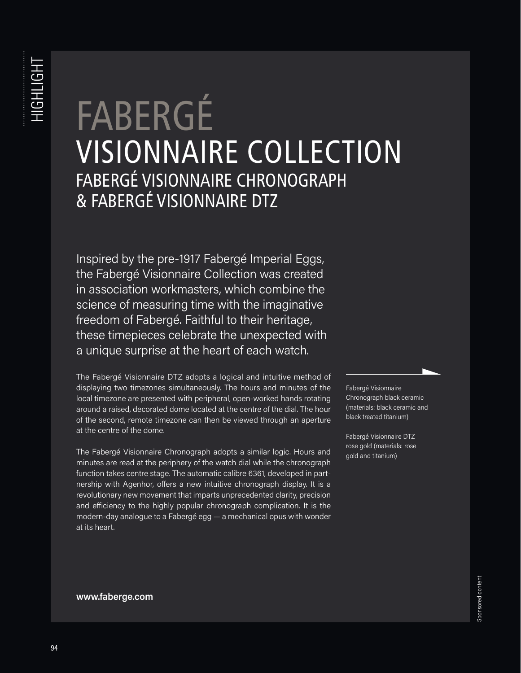## FABERGÉ<br>VISIONNAIRE COLLECTION FABERGÉ VISIONNAIRE CHRONOGRAPH & FABERGÉ VISIONNAIRE DTZ

Inspired by the pre-1917 Fabergé Imperial Eggs, the Fabergé Visionnaire Collection was created in association workmasters, which combine the science of measuring time with the imaginative freedom of Fabergé. Faithful to their heritage, these timepieces celebrate the unexpected with a unique surprise at the heart of each watch.

The Fabergé Visionnaire DTZ adopts a logical and intuitive method of displaying two timezones simultaneously. The hours and minutes of the local timezone are presented with peripheral, open-worked hands rotating around a raised, decorated dome located at the centre of the dial. The hour of the second, remote timezone can then be viewed through an aperture at the centre of the dome.

The Fabergé Visionnaire Chronograph adopts a similar logic. Hours and minutes are read at the periphery of the watch dial while the chronograph function takes centre stage. The automatic calibre 6361, developed in partnership with Agenhor, offers a new intuitive chronograph display. It is a revolutionary new movement that imparts unprecedented clarity, precision and efficiency to the highly popular chronograph complication. It is the modern-day analogue to a Fabergé egg — a mechanical opus with wonder at its heart.

Fabergé Visionnaire Chronograph black ceramic (materials: black ceramic and black treated titanium)

Fabergé Visionnaire DTZ rose gold (materials: rose gold and titanium)

## **www.faberge.com**

Sponsored content Sponsored content